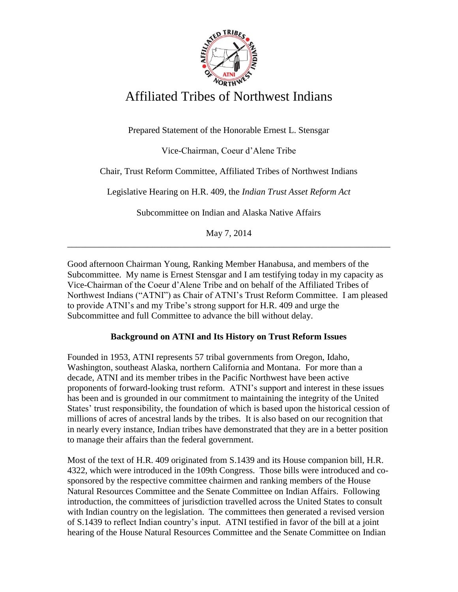

# Affiliated Tribes of Northwest Indians

Prepared Statement of the Honorable Ernest L. Stensgar

Vice-Chairman, Coeur d'Alene Tribe

Chair, Trust Reform Committee, Affiliated Tribes of Northwest Indians

Legislative Hearing on H.R. 409, the *Indian Trust Asset Reform Act*

Subcommittee on Indian and Alaska Native Affairs

May 7, 2014 \_\_\_\_\_\_\_\_\_\_\_\_\_\_\_\_\_\_\_\_\_\_\_\_\_\_\_\_\_\_\_\_\_\_\_\_\_\_\_\_\_\_\_\_\_\_\_\_\_\_\_\_\_\_\_\_\_\_\_\_\_\_\_\_\_\_\_\_\_\_\_\_

Good afternoon Chairman Young, Ranking Member Hanabusa, and members of the Subcommittee. My name is Ernest Stensgar and I am testifying today in my capacity as Vice-Chairman of the Coeur d'Alene Tribe and on behalf of the Affiliated Tribes of Northwest Indians ("ATNI") as Chair of ATNI's Trust Reform Committee. I am pleased to provide ATNI's and my Tribe's strong support for H.R. 409 and urge the Subcommittee and full Committee to advance the bill without delay.

## **Background on ATNI and Its History on Trust Reform Issues**

Founded in 1953, ATNI represents 57 tribal governments from Oregon, Idaho, Washington, southeast Alaska, northern California and Montana. For more than a decade, ATNI and its member tribes in the Pacific Northwest have been active proponents of forward-looking trust reform. ATNI's support and interest in these issues has been and is grounded in our commitment to maintaining the integrity of the United States' trust responsibility, the foundation of which is based upon the historical cession of millions of acres of ancestral lands by the tribes. It is also based on our recognition that in nearly every instance, Indian tribes have demonstrated that they are in a better position to manage their affairs than the federal government.

Most of the text of H.R. 409 originated from S.1439 and its House companion bill, H.R. 4322, which were introduced in the 109th Congress. Those bills were introduced and cosponsored by the respective committee chairmen and ranking members of the House Natural Resources Committee and the Senate Committee on Indian Affairs. Following introduction, the committees of jurisdiction travelled across the United States to consult with Indian country on the legislation. The committees then generated a revised version of S.1439 to reflect Indian country's input. ATNI testified in favor of the bill at a joint hearing of the House Natural Resources Committee and the Senate Committee on Indian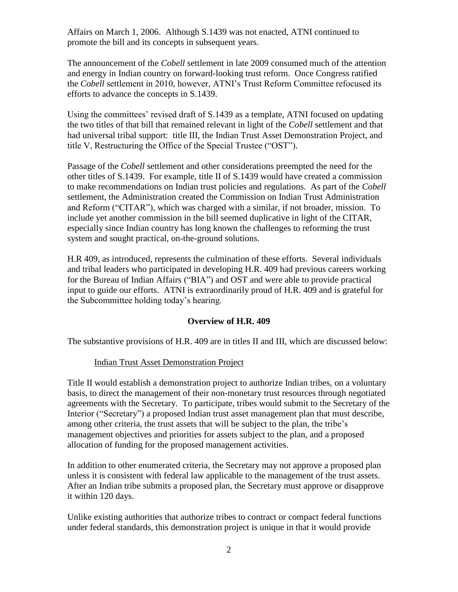Affairs on March 1, 2006. Although S.1439 was not enacted, ATNI continued to promote the bill and its concepts in subsequent years.

The announcement of the *Cobell* settlement in late 2009 consumed much of the attention and energy in Indian country on forward-looking trust reform. Once Congress ratified the *Cobell* settlement in 2010, however, ATNI's Trust Reform Committee refocused its efforts to advance the concepts in S.1439.

Using the committees' revised draft of S.1439 as a template, ATNI focused on updating the two titles of that bill that remained relevant in light of the *Cobell* settlement and that had universal tribal support: title III, the Indian Trust Asset Demonstration Project, and title V, Restructuring the Office of the Special Trustee ("OST").

Passage of the *Cobell* settlement and other considerations preempted the need for the other titles of S.1439. For example, title II of S.1439 would have created a commission to make recommendations on Indian trust policies and regulations. As part of the *Cobell* settlement, the Administration created the Commission on Indian Trust Administration and Reform ("CITAR"), which was charged with a similar, if not broader, mission. To include yet another commission in the bill seemed duplicative in light of the CITAR, especially since Indian country has long known the challenges to reforming the trust system and sought practical, on-the-ground solutions.

H.R 409, as introduced, represents the culmination of these efforts. Several individuals and tribal leaders who participated in developing H.R. 409 had previous careers working for the Bureau of Indian Affairs ("BIA") and OST and were able to provide practical input to guide our efforts. ATNI is extraordinarily proud of H.R. 409 and is grateful for the Subcommittee holding today's hearing.

#### **Overview of H.R. 409**

The substantive provisions of H.R. 409 are in titles II and III, which are discussed below:

#### Indian Trust Asset Demonstration Project

Title II would establish a demonstration project to authorize Indian tribes, on a voluntary basis, to direct the management of their non-monetary trust resources through negotiated agreements with the Secretary. To participate, tribes would submit to the Secretary of the Interior ("Secretary") a proposed Indian trust asset management plan that must describe, among other criteria, the trust assets that will be subject to the plan, the tribe's management objectives and priorities for assets subject to the plan, and a proposed allocation of funding for the proposed management activities.

In addition to other enumerated criteria, the Secretary may not approve a proposed plan unless it is consistent with federal law applicable to the management of the trust assets. After an Indian tribe submits a proposed plan, the Secretary must approve or disapprove it within 120 days.

Unlike existing authorities that authorize tribes to contract or compact federal functions under federal standards, this demonstration project is unique in that it would provide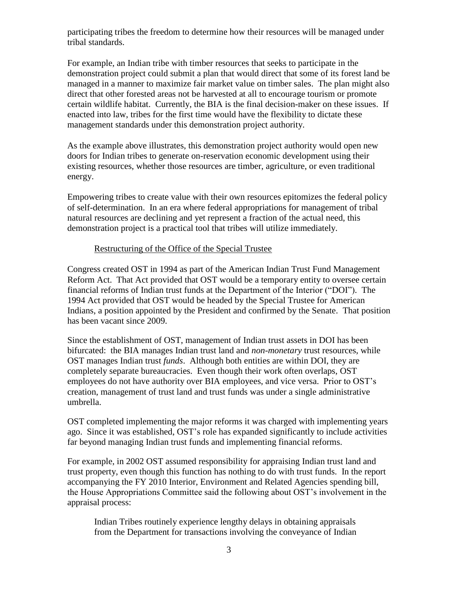participating tribes the freedom to determine how their resources will be managed under tribal standards.

For example, an Indian tribe with timber resources that seeks to participate in the demonstration project could submit a plan that would direct that some of its forest land be managed in a manner to maximize fair market value on timber sales. The plan might also direct that other forested areas not be harvested at all to encourage tourism or promote certain wildlife habitat. Currently, the BIA is the final decision-maker on these issues. If enacted into law, tribes for the first time would have the flexibility to dictate these management standards under this demonstration project authority.

As the example above illustrates, this demonstration project authority would open new doors for Indian tribes to generate on-reservation economic development using their existing resources, whether those resources are timber, agriculture, or even traditional energy.

Empowering tribes to create value with their own resources epitomizes the federal policy of self-determination. In an era where federal appropriations for management of tribal natural resources are declining and yet represent a fraction of the actual need, this demonstration project is a practical tool that tribes will utilize immediately.

### Restructuring of the Office of the Special Trustee

Congress created OST in 1994 as part of the American Indian Trust Fund Management Reform Act. That Act provided that OST would be a temporary entity to oversee certain financial reforms of Indian trust funds at the Department of the Interior ("DOI"). The 1994 Act provided that OST would be headed by the Special Trustee for American Indians, a position appointed by the President and confirmed by the Senate. That position has been vacant since 2009.

Since the establishment of OST, management of Indian trust assets in DOI has been bifurcated: the BIA manages Indian trust land and *non-monetary* trust resources, while OST manages Indian trust *funds*. Although both entities are within DOI, they are completely separate bureaucracies. Even though their work often overlaps, OST employees do not have authority over BIA employees, and vice versa. Prior to OST's creation, management of trust land and trust funds was under a single administrative umbrella.

OST completed implementing the major reforms it was charged with implementing years ago. Since it was established, OST's role has expanded significantly to include activities far beyond managing Indian trust funds and implementing financial reforms.

For example, in 2002 OST assumed responsibility for appraising Indian trust land and trust property, even though this function has nothing to do with trust funds. In the report accompanying the FY 2010 Interior, Environment and Related Agencies spending bill, the House Appropriations Committee said the following about OST's involvement in the appraisal process:

Indian Tribes routinely experience lengthy delays in obtaining appraisals from the Department for transactions involving the conveyance of Indian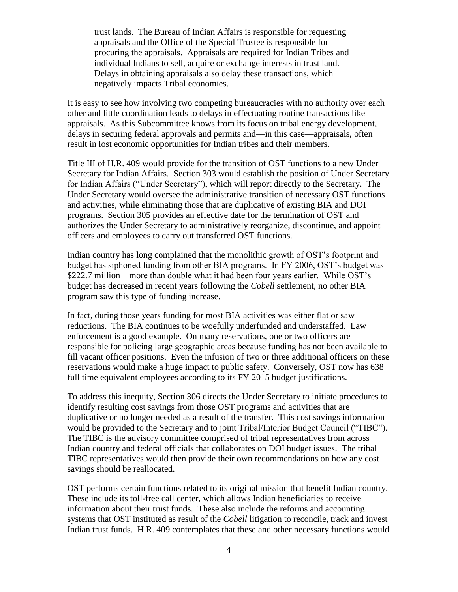trust lands. The Bureau of Indian Affairs is responsible for requesting appraisals and the Office of the Special Trustee is responsible for procuring the appraisals. Appraisals are required for Indian Tribes and individual Indians to sell, acquire or exchange interests in trust land. Delays in obtaining appraisals also delay these transactions, which negatively impacts Tribal economies.

It is easy to see how involving two competing bureaucracies with no authority over each other and little coordination leads to delays in effectuating routine transactions like appraisals. As this Subcommittee knows from its focus on tribal energy development, delays in securing federal approvals and permits and—in this case—appraisals, often result in lost economic opportunities for Indian tribes and their members.

Title III of H.R. 409 would provide for the transition of OST functions to a new Under Secretary for Indian Affairs. Section 303 would establish the position of Under Secretary for Indian Affairs ("Under Secretary"), which will report directly to the Secretary. The Under Secretary would oversee the administrative transition of necessary OST functions and activities, while eliminating those that are duplicative of existing BIA and DOI programs. Section 305 provides an effective date for the termination of OST and authorizes the Under Secretary to administratively reorganize, discontinue, and appoint officers and employees to carry out transferred OST functions.

Indian country has long complained that the monolithic growth of OST's footprint and budget has siphoned funding from other BIA programs. In FY 2006, OST's budget was \$222.7 million – more than double what it had been four years earlier. While OST's budget has decreased in recent years following the *Cobell* settlement, no other BIA program saw this type of funding increase.

In fact, during those years funding for most BIA activities was either flat or saw reductions. The BIA continues to be woefully underfunded and understaffed. Law enforcement is a good example. On many reservations, one or two officers are responsible for policing large geographic areas because funding has not been available to fill vacant officer positions. Even the infusion of two or three additional officers on these reservations would make a huge impact to public safety. Conversely, OST now has 638 full time equivalent employees according to its FY 2015 budget justifications.

To address this inequity, Section 306 directs the Under Secretary to initiate procedures to identify resulting cost savings from those OST programs and activities that are duplicative or no longer needed as a result of the transfer. This cost savings information would be provided to the Secretary and to joint Tribal/Interior Budget Council ("TIBC"). The TIBC is the advisory committee comprised of tribal representatives from across Indian country and federal officials that collaborates on DOI budget issues. The tribal TIBC representatives would then provide their own recommendations on how any cost savings should be reallocated.

OST performs certain functions related to its original mission that benefit Indian country. These include its toll-free call center, which allows Indian beneficiaries to receive information about their trust funds. These also include the reforms and accounting systems that OST instituted as result of the *Cobell* litigation to reconcile, track and invest Indian trust funds. H.R. 409 contemplates that these and other necessary functions would